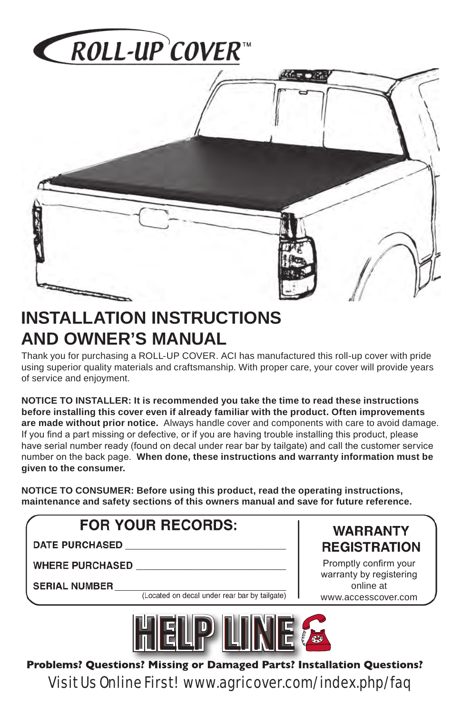

## **INSTALLATION INSTRUCTIONS AND OWNER'S MANUAL**

Thank you for purchasing a ROLL-UP COVER. ACI has manufactured this roll-up cover with pride using superior quality materials and craftsmanship. With proper care, your cover will provide years of service and enjoyment.

**NOTICE TO INSTALLER: It is recommended you take the time to read these instructions before installing this cover even if already familiar with the product. Often improvements are made without prior notice.** Always handle cover and components with care to avoid damage. If you find a part missing or defective, or if you are having trouble installing this product, please have serial number ready (found on decal under rear bar by tailgate) and call the customer service number on the back page. **When done, these instructions and warranty information must be given to the consumer.**

**NOTICE TO CONSUMER: Before using this product, read the operating instructions, maintenance and safety sections of this owners manual and save for future reference.**

### FOR YOUR RECORDS:

**DATE PURCHASED** 

**WHERE PURCHASED** 

**SERIAL NUMBER** 

(Located on decal under rear bar by tailgate)

**WARRANTY REGISTRATION** 

Promptly confirm your warranty by registering online at www.accesscover.com



Visit Us Online First! www.agricover.com/index.php/faq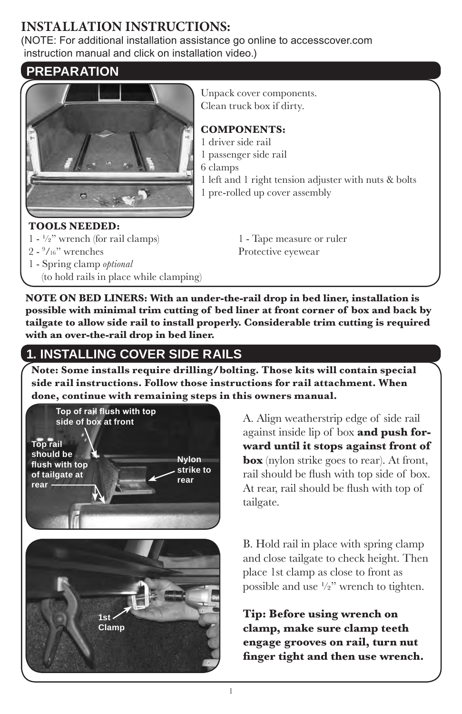### **INSTALLATION INSTRUCTIONS:**

(NOTE: For additional installation assistance go online to accesscover.com instruction manual and click on installation video.)

### **PREPARATION**



Unpack cover components. Clean truck box if dirty.

### **COMPONENTS:**

- 1 driver side rail
- 1 passenger side rail
- 6 clamps
- 1 left and 1 right tension adjuster with nuts & bolts
- 1 pre-rolled up cover assembly

### **TOOLS NEEDED:**

- $1 \frac{1}{2}$ " wrench (for rail clamps)  $1 \text{Tape measure or ruler}$
- $2 \frac{9}{16}$ " wrenches
- 1 Spring clamp *optional*
	- (to hold rails in place while clamping)

Protective eyewear

**NOTE ON BED LINERS: With an under-the-rail drop in bed liner, installation is possible with minimal trim cutting of bed liner at front corner of box and back by tailgate to allow side rail to install properly. Considerable trim cutting is required with an over-the-rail drop in bed liner.** 

### **1. INSTALLING COVER SIDE RAILS**

**Note: Some installs require drilling/bolting. Those kits will contain special side rail instructions. Follow those instructions for rail attachment. When done, continue with remaining steps in this owners manual.**



A. Align weatherstrip edge of side rail against inside lip of box **and push forward until it stops against front of box** (nylon strike goes to rear). At front, rail should be flush with top side of box. At rear, rail should be flush with top of tailgate.

B. Hold rail in place with spring clamp and close tailgate to check height. Then place 1st clamp as close to front as possible and use  $\frac{1}{2}$ " wrench to tighten.

**Tip: Before using wrench on clamp, make sure clamp teeth engage grooves on rail, turn nut finger tight and then use wrench.**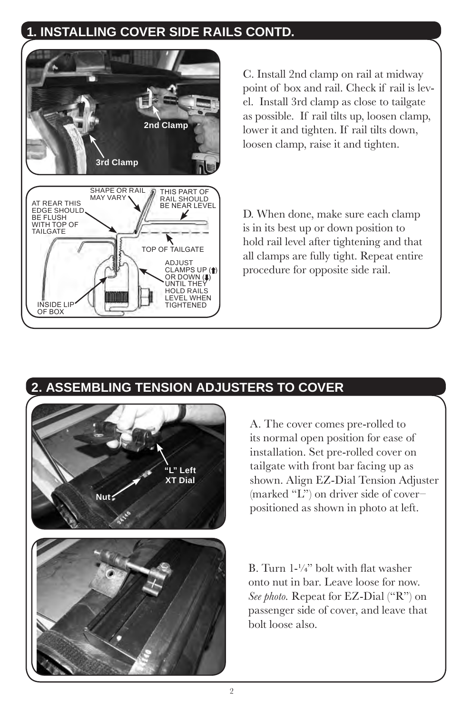### **1. INSTALLING COVER SIDE RAILS CONTD.**



C. Install 2nd clamp on rail at midway point of box and rail. Check if rail is level. Install 3rd clamp as close to tailgate as possible. If rail tilts up, loosen clamp, lower it and tighten. If rail tilts down, loosen clamp, raise it and tighten.

D. When done, make sure each clamp is in its best up or down position to hold rail level after tightening and that all clamps are fully tight. Repeat entire procedure for opposite side rail.

### **2. ASSEMBLING TENSION ADJUSTERS TO COVER**



A. The cover comes pre-rolled to its normal open position for ease of installation. Set pre-rolled cover on tailgate with front bar facing up as shown. Align EZ-Dial Tension Adjuster (marked "L") on driver side of cover– positioned as shown in photo at left.

B. Turn 1-¼" bolt with flat washer onto nut in bar. Leave loose for now. *See photo.* Repeat for EZ-Dial ("R") on passenger side of cover, and leave that bolt loose also.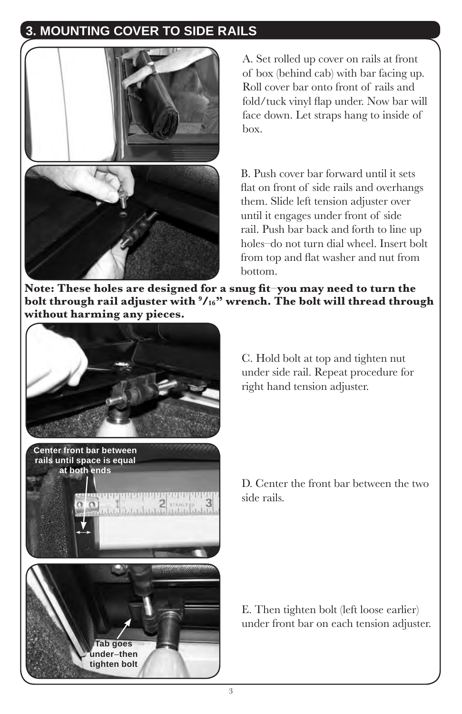### **3. MOUNTING COVER TO SIDE RAILS**



A. Set rolled up cover on rails at front of box (behind cab) with bar facing up. Roll cover bar onto front of rails and fold/tuck vinyl flap under. Now bar will face down. Let straps hang to inside of box.

B. Push cover bar forward until it sets flat on front of side rails and overhangs them. Slide left tension adjuster over until it engages under front of side rail. Push bar back and forth to line up holes–do not turn dial wheel. Insert bolt from top and flat washer and nut from bottom.

**Note: These holes are designed for a snug fit**–**you may need to turn the bolt through rail adjuster with 9 /16" wrench. The bolt will thread through without harming any pieces.**



C. Hold bolt at top and tighten nut under side rail. Repeat procedure for right hand tension adjuster.

D. Center the front bar between the two side rails.

E. Then tighten bolt (left loose earlier) under front bar on each tension adjuster.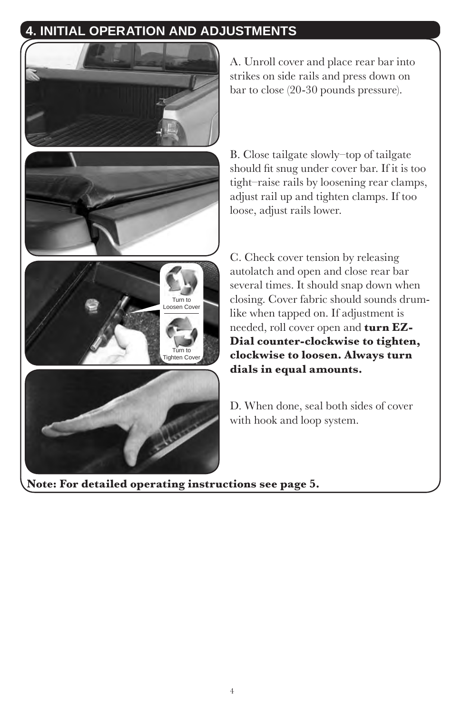### **4. INITIAL OPERATION AND ADJUSTMENTS**



A. Unroll cover and place rear bar into strikes on side rails and press down on bar to close (20-30 pounds pressure).

B. Close tailgate slowly–top of tailgate should fit snug under cover bar. If it is too tight–raise rails by loosening rear clamps, adjust rail up and tighten clamps. If too loose, adjust rails lower.

C. Check cover tension by releasing autolatch and open and close rear bar several times. It should snap down when closing. Cover fabric should sounds drumlike when tapped on. If adjustment is needed, roll cover open and **turn EZ-Dial counter-clockwise to tighten, clockwise to loosen. Always turn dials in equal amounts.**

D. When done, seal both sides of cover with hook and loop system.

**Note: For detailed operating instructions see page 5.**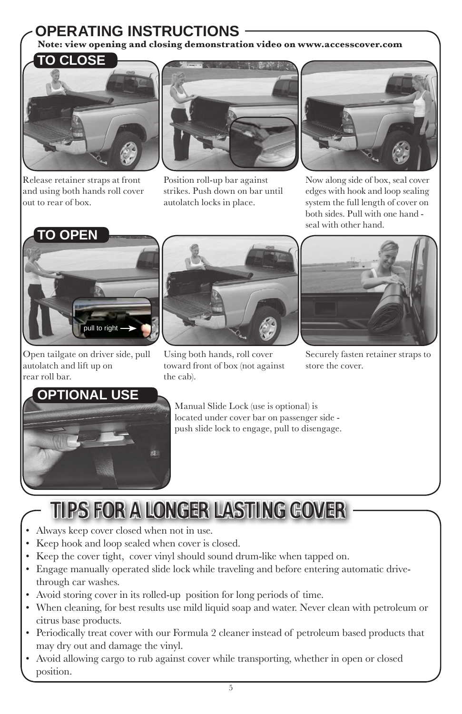### **OPERATING INSTRUCTIONS**

**Note: view opening and closing demonstration video on www.accesscover.com**



Release retainer straps at front and using both hands roll cover out to rear of box.



Position roll-up bar against strikes. Push down on bar until autolatch locks in place.



Now along side of box, seal cover edges with hook and loop sealing system the full length of cover on both sides. Pull with one hand seal with other hand.



Open tailgate on driver side, pull autolatch and lift up on rear roll bar.

### **OPTIONAL USE**



Using both hands, roll cover toward front of box (not against the cab).



Securely fasten retainer straps to store the cover.



Manual Slide Lock (use is optional) is located under cover bar on passenger side push slide lock to engage, pull to disengage.

## TIPS FOR A LONGER LASTING COVER

- Always keep cover closed when not in use.
- Keep hook and loop sealed when cover is closed.
- Keep the cover tight, cover vinyl should sound drum-like when tapped on.
- Engage manually operated slide lock while traveling and before entering automatic drivethrough car washes.
- Avoid storing cover in its rolled-up position for long periods of time.
- When cleaning, for best results use mild liquid soap and water. Never clean with petroleum or citrus base products.
- Periodically treat cover with our Formula 2 cleaner instead of petroleum based products that may dry out and damage the vinyl.
- Avoid allowing cargo to rub against cover while transporting, whether in open or closed position.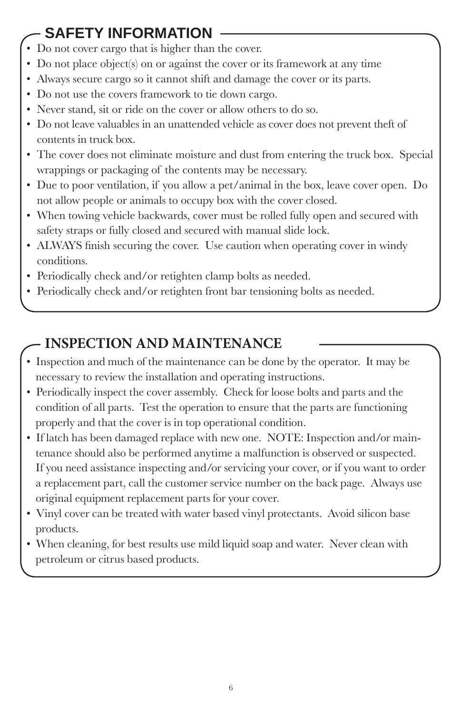## **SAFETY INFORMATION**

- Do not cover cargo that is higher than the cover.
- Do not place object(s) on or against the cover or its framework at any time
- Always secure cargo so it cannot shift and damage the cover or its parts.
- Do not use the covers framework to tie down cargo.
- Never stand, sit or ride on the cover or allow others to do so.
- Do not leave valuables in an unattended vehicle as cover does not prevent theft of contents in truck box.
- The cover does not eliminate moisture and dust from entering the truck box. Special wrappings or packaging of the contents may be necessary.
- Due to poor ventilation, if you allow a pet/animal in the box, leave cover open. Do not allow people or animals to occupy box with the cover closed.
- When towing vehicle backwards, cover must be rolled fully open and secured with safety straps or fully closed and secured with manual slide lock.
- ALWAYS finish securing the cover. Use caution when operating cover in windy conditions.
- Periodically check and/or retighten clamp bolts as needed.
- Periodically check and/or retighten front bar tensioning bolts as needed.

### **INSPECTION AND MAINTENANCE**

- Inspection and much of the maintenance can be done by the operator. It may be necessary to review the installation and operating instructions.
- Periodically inspect the cover assembly. Check for loose bolts and parts and the condition of all parts. Test the operation to ensure that the parts are functioning properly and that the cover is in top operational condition.
- If latch has been damaged replace with new one. NOTE: Inspection and/or maintenance should also be performed anytime a malfunction is observed or suspected. If you need assistance inspecting and/or servicing your cover, or if you want to order a replacement part, call the customer service number on the back page. Always use original equipment replacement parts for your cover.
- Vinyl cover can be treated with water based vinyl protectants. Avoid silicon base products.
- When cleaning, for best results use mild liquid soap and water. Never clean with petroleum or citrus based products.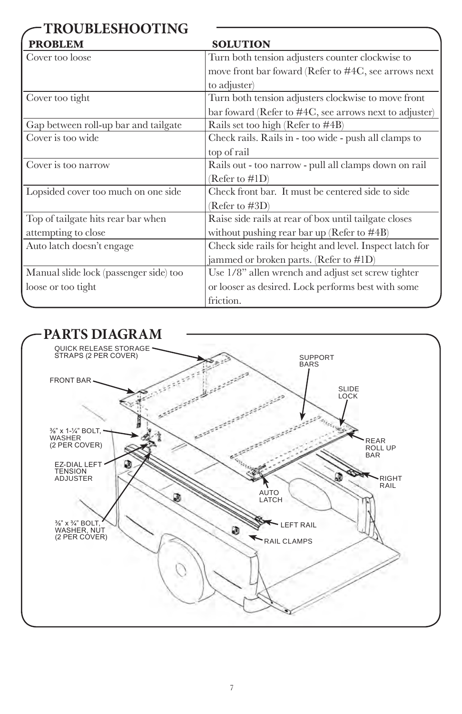| <b>TROUBLESHOOTING</b>                 |                                                          |
|----------------------------------------|----------------------------------------------------------|
| <b>PROBLEM</b>                         | <b>SOLUTION</b>                                          |
| Cover too loose                        | Turn both tension adjusters counter clockwise to         |
|                                        | move front bar foward (Refer to #4C, see arrows next     |
|                                        | to adjuster)                                             |
| Cover too tight                        | Turn both tension adjusters clockwise to move front      |
|                                        | bar foward (Refer to #4C, see arrows next to adjuster)   |
| Gap between roll-up bar and tailgate   | Rails set too high (Refer to #4B)                        |
| Cover is too wide                      | Check rails. Rails in - too wide - push all clamps to    |
|                                        | top of rail                                              |
| Cover is too narrow                    | Rails out - too narrow - pull all clamps down on rail    |
|                                        | (Refer to #1D)                                           |
| Lopsided cover too much on one side    | Check front bar. It must be centered side to side        |
|                                        | (Refer to #3D)                                           |
| Top of tailgate hits rear bar when     | Raise side rails at rear of box until tailgate closes    |
| attempting to close                    | without pushing rear bar up (Refer to $\#4B$ )           |
| Auto latch doesn't engage              | Check side rails for height and level. Inspect latch for |
|                                        | jammed or broken parts. (Refer to #1D)                   |
| Manual slide lock (passenger side) too | Use 1/8" allen wrench and adjust set screw tighter       |
| loose or too tight                     | or looser as desired. Lock performs best with some       |
|                                        | friction.                                                |

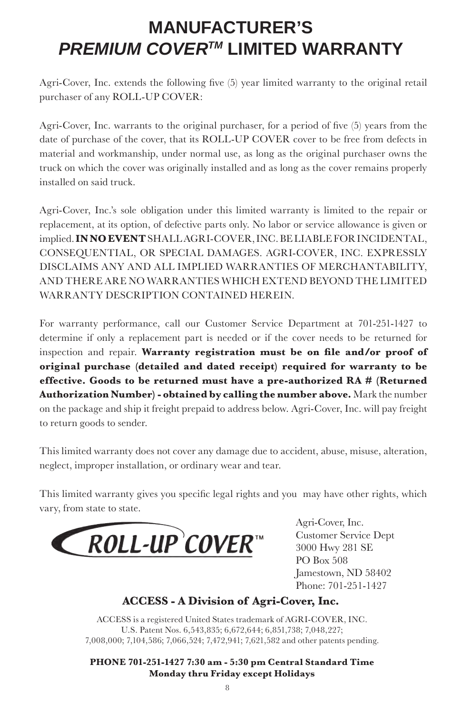## **MANUFACTURER'S**  *PREMIUM COVERTM* **LIMITED WARRANTY**

Agri-Cover, Inc. extends the following five (5) year limited warranty to the original retail purchaser of any ROLL-UP COVER:

Agri-Cover, Inc. warrants to the original purchaser, for a period of five (5) years from the date of purchase of the cover, that its ROLL-UP COVER cover to be free from defects in material and workmanship, under normal use, as long as the original purchaser owns the truck on which the cover was originally installed and as long as the cover remains properly installed on said truck.

Agri-Cover, Inc.'s sole obligation under this limited warranty is limited to the repair or replacement, at its option, of defective parts only. No labor or service allowance is given or implied. **IN NO EVENT** SHALL AGRI-COVER, INC. BE LIABLE FOR INCIDENTAL, CONSEQUENTIAL, OR SPECIAL DAMAGES. AGRI-COVER, INC. EXPRESSLY DISCLAIMS ANY AND ALL IMPLIED WARRANTIES OF MERCHANTABILITY, AND THERE ARE NO WARRANTIES WHICH EXTEND BEYOND THE LIMITED WARRANTY DESCRIPTION CONTAINED HEREIN.

For warranty performance, call our Customer Service Department at 701-251-1427 to determine if only a replacement part is needed or if the cover needs to be returned for inspection and repair. **Warranty registration must be on file and/or proof of original purchase (detailed and dated receipt) required for warranty to be effective. Goods to be returned must have a pre-authorized RA # (Returned Authorization Number) - obtained by calling the number above.** Mark the number on the package and ship it freight prepaid to address below. Agri-Cover, Inc. will pay freight to return goods to sender.

This limited warranty does not cover any damage due to accident, abuse, misuse, alteration, neglect, improper installation, or ordinary wear and tear.

This limited warranty gives you specific legal rights and you may have other rights, which vary, from state to state.

ROLL-UP COVER<sup>"</sup>

Agri-Cover, Inc. Customer Service Dept 3000 Hwy 281 SE PO Box 508 Jamestown, ND 58402 Phone: 701-251-1427

### **ACCESS - A Division of Agri-Cover, Inc.**

ACCESS is a registered United States trademark of AGRI-COVER, INC. U.S. Patent Nos. 6,543,835; 6,672,644; 6,851,738; 7,048,227; 7,008,000; 7,104,586; 7,066,524; 7,472,941; 7,621,582 and other patents pending.

**PHONE 701-251-1427 7:30 am - 5:30 pm Central Standard Time Monday thru Friday except Holidays**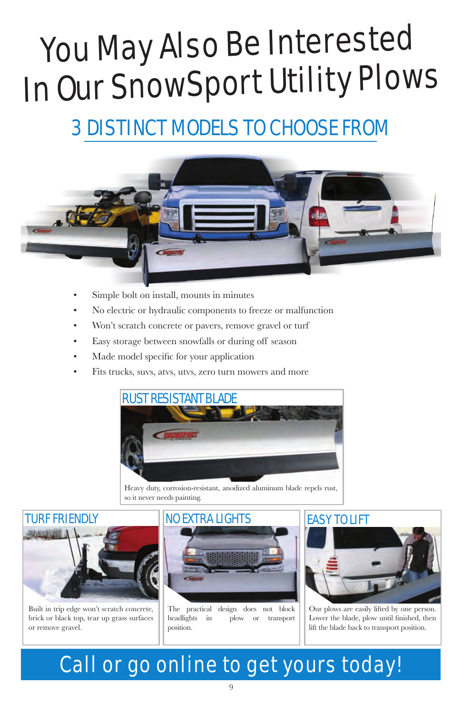# You May Also Be Interested In Our SnowSport Utility Plows

# 3 DISTINCT MODELS TO CHOOSE FROM



- Simple bolt on install, mounts in minutes
- No electric or hydraulic components to freeze or malfunction
- Won't scratch concrete or pavers, remove gravel or turf
- Easy storage between snowfalls or during off season
- Made model specific for your application
- Fits trucks, suvs, atvs, utvs, zero turn mowers and more



Heavy duty, corrosion-resistant, anodized aluminum blade repels rust, so it never needs painting.



Built in trip edge won't scratch concrete, brick or black top, tear up grass surfaces or remove gravel.



The practical design does not block headlights in plow or transport position.



Our plows are easily lifted by one person. Lower the blade, plow until finished, then lift the blade back to transport position.

# Call or go online to get yours today!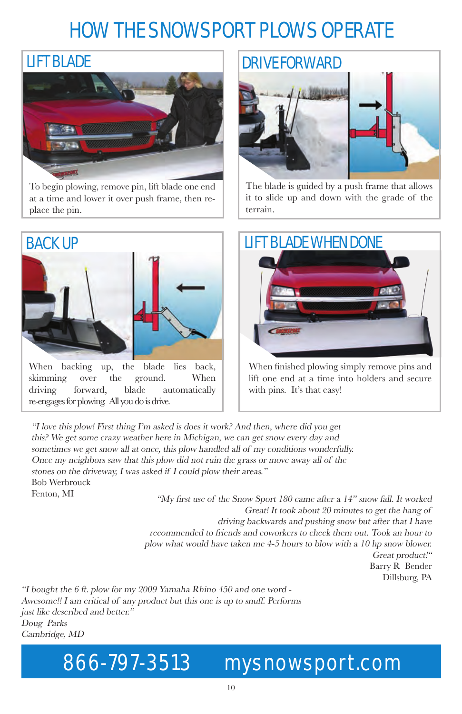# HOW THE SNOWSPORT PLOWS OPERATE



To begin plowing, remove pin, lift blade one end at a time and lower it over push frame, then replace the pin.



When backing up, the blade lies back, skimming over the ground. When driving forward, blade automatically re-engages for plowing. All you do is drive.



The blade is guided by a push frame that allows it to slide up and down with the grade of the terrain.



When finished plowing simply remove pins and lift one end at a time into holders and secure with pins. It's that easy!

"I love this plow! First thing I'm asked is does it work? And then, where did you get this? We get some crazy weather here in Michigan, we can get snow every day and sometimes we get snow all at once, this plow handled all of my conditions wonderfully. Once my neighbors saw that this plow did not ruin the grass or move away all of the stones on the driveway, I was asked if I could plow their areas." Bob Werbrouck Fenton, MI "My first use of the Snow Sport 180 came after a 14" snow fall. It worked

Great! It took about 20 minutes to get the hang of driving backwards and pushing snow but after that I have recommended to friends and coworkers to check them out. Took an hour to plow what would have taken me 4-5 hours to blow with a 10 hp snow blower. Great product!" Barry R Bender Dillsburg, PA

"I bought the 6 ft. plow for my 2009 Yamaha Rhino 450 and one word - Awesome!! I am critical of any product but this one is up to snuff. Performs just like described and better." Doug Parks Cambridge, MD

# 866-797-3513 mysnowsport.com